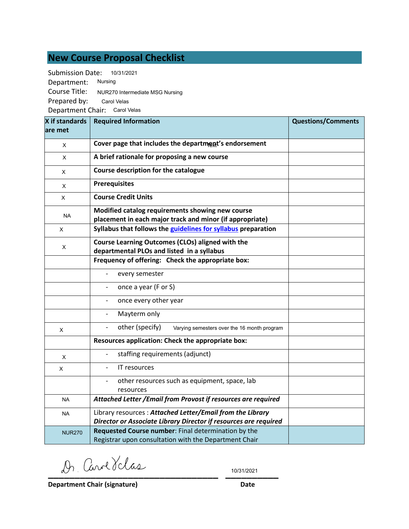## **New Course Proposal Checklist**

Submission Date: Department: Course Title: Prepared by: Department Chair: Carol Velas Nursing 10/31/2021 NUR270 Intermediate MSG Nursing Carol Velas

| X if standards<br>are met | <b>Required Information</b>                                                                                                   | <b>Questions/Comments</b> |
|---------------------------|-------------------------------------------------------------------------------------------------------------------------------|---------------------------|
| X                         | Cover page that includes the department's endorsement                                                                         |                           |
| X                         | A brief rationale for proposing a new course                                                                                  |                           |
| X                         | Course description for the catalogue                                                                                          |                           |
| X                         | <b>Prerequisites</b>                                                                                                          |                           |
| X                         | <b>Course Credit Units</b>                                                                                                    |                           |
| <b>NA</b>                 | Modified catalog requirements showing new course<br>placement in each major track and minor (if appropriate)                  |                           |
| X                         | Syllabus that follows the guidelines for syllabus preparation                                                                 |                           |
| X                         | Course Learning Outcomes (CLOs) aligned with the<br>departmental PLOs and listed in a syllabus                                |                           |
|                           | Frequency of offering: Check the appropriate box:                                                                             |                           |
|                           | every semester                                                                                                                |                           |
|                           | once a year (F or S)                                                                                                          |                           |
|                           | once every other year                                                                                                         |                           |
|                           | Mayterm only                                                                                                                  |                           |
| X                         | other (specify)<br>Varying semesters over the 16 month program                                                                |                           |
|                           | Resources application: Check the appropriate box:                                                                             |                           |
| X                         | staffing requirements (adjunct)                                                                                               |                           |
| X                         | IT resources                                                                                                                  |                           |
|                           | other resources such as equipment, space, lab<br>resources                                                                    |                           |
| <b>NA</b>                 | Attached Letter / Email from Provost if resources are required                                                                |                           |
| <b>NA</b>                 | Library resources: Attached Letter/Email from the Library<br>Director or Associate Library Director if resources are required |                           |
| <b>NUR270</b>             | Requested Course number: Final determination by the<br>Registrar upon consultation with the Department Chair                  |                           |

**\_\_\_\_\_\_\_\_\_\_\_\_\_\_\_\_\_\_\_\_\_\_\_\_\_\_\_\_\_\_\_\_ \_\_\_\_\_\_\_\_\_\_**

10/31/2021

**Department Chair (signature) Date**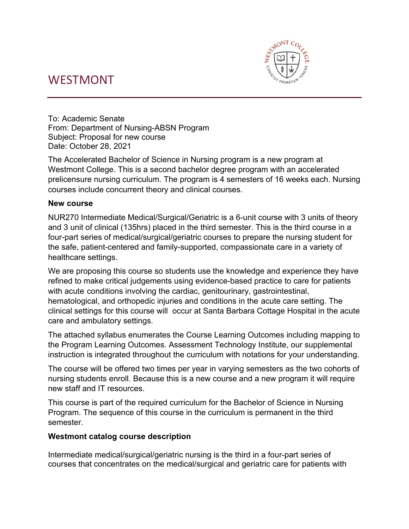# WESTMONT



To: Academic Senate From: Department of Nursing-ABSN Program Subject: Proposal for new course Date: October 28, 2021

The Accelerated Bachelor of Science in Nursing program is a new program at Westmont College. This is a second bachelor degree program with an accelerated prelicensure nursing curriculum. The program is 4 semesters of 16 weeks each. Nursing courses include concurrent theory and clinical courses.

#### **New course**

NUR270 Intermediate Medical/Surgical/Geriatric is a 6-unit course with 3 units of theory and 3 unit of clinical (135hrs) placed in the third semester. This is the third course in a four-part series of medical/surgical/geriatric courses to prepare the nursing student for the safe, patient-centered and family-supported, compassionate care in a variety of healthcare settings.

We are proposing this course so students use the knowledge and experience they have refined to make critical judgements using evidence-based practice to care for patients with acute conditions involving the cardiac, genitourinary, gastrointestinal, hematological, and orthopedic injuries and conditions in the acute care setting. The clinical settings for this course will occur at Santa Barbara Cottage Hospital in the acute care and ambulatory settings.

The attached syllabus enumerates the Course Learning Outcomes including mapping to the Program Learning Outcomes. Assessment Technology Institute, our supplemental instruction is integrated throughout the curriculum with notations for your understanding.

The course will be offered two times per year in varying semesters as the two cohorts of nursing students enroll. Because this is a new course and a new program it will require new staff and IT resources.

This course is part of the required curriculum for the Bachelor of Science in Nursing Program. The sequence of this course in the curriculum is permanent in the third semester.

#### **Westmont catalog course description**

Intermediate medical/surgical/geriatric nursing is the third in a four-part series of courses that concentrates on the medical/surgical and geriatric care for patients with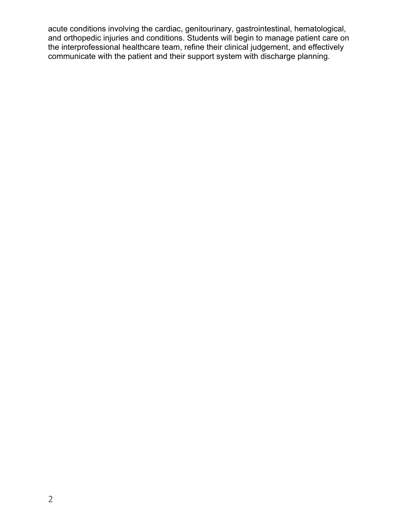acute conditions involving the cardiac, genitourinary, gastrointestinal, hematological, and orthopedic injuries and conditions. Students will begin to manage patient care on the interprofessional healthcare team, refine their clinical judgement, and effectively communicate with the patient and their support system with discharge planning.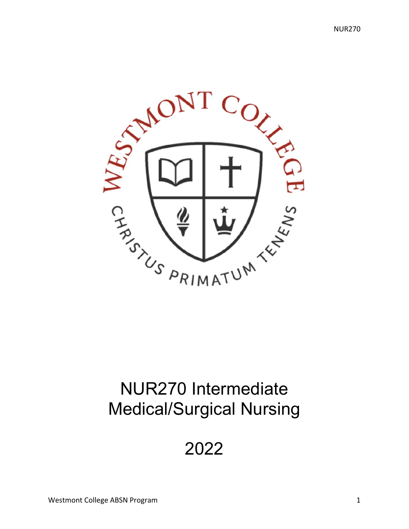

# NUR270 Intermediate Medical/Surgical Nursing

# 2022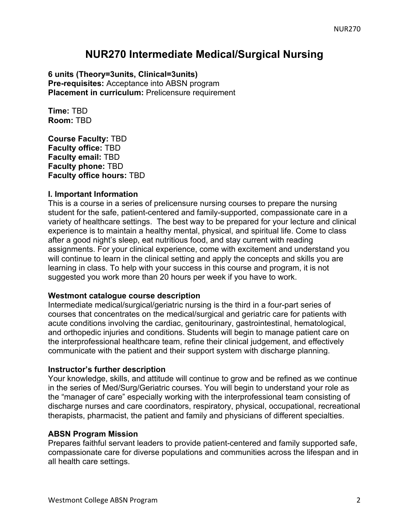## **NUR270 Intermediate Medical/Surgical Nursing**

**6 units (Theory=3units, Clinical=3units) Pre-requisites:** Acceptance into ABSN program **Placement in curriculum:** Prelicensure requirement

**Time:** TBD **Room:** TBD

**Course Faculty:** TBD **Faculty office:** TBD **Faculty email:** TBD **Faculty phone:** TBD **Faculty office hours:** TBD

#### **I. Important Information**

This is a course in a series of prelicensure nursing courses to prepare the nursing student for the safe, patient-centered and family-supported, compassionate care in a variety of healthcare settings. The best way to be prepared for your lecture and clinical experience is to maintain a healthy mental, physical, and spiritual life. Come to class after a good night's sleep, eat nutritious food, and stay current with reading assignments. For your clinical experience, come with excitement and understand you will continue to learn in the clinical setting and apply the concepts and skills you are learning in class. To help with your success in this course and program, it is not suggested you work more than 20 hours per week if you have to work.

#### **Westmont catalogue course description**

Intermediate medical/surgical/geriatric nursing is the third in a four-part series of courses that concentrates on the medical/surgical and geriatric care for patients with acute conditions involving the cardiac, genitourinary, gastrointestinal, hematological, and orthopedic injuries and conditions. Students will begin to manage patient care on the interprofessional healthcare team, refine their clinical judgement, and effectively communicate with the patient and their support system with discharge planning.

#### **Instructor's further description**

Your knowledge, skills, and attitude will continue to grow and be refined as we continue in the series of Med/Surg/Geriatric courses. You will begin to understand your role as the "manager of care" especially working with the interprofessional team consisting of discharge nurses and care coordinators, respiratory, physical, occupational, recreational therapists, pharmacist, the patient and family and physicians of different specialties.

#### **ABSN Program Mission**

Prepares faithful servant leaders to provide patient-centered and family supported safe, compassionate care for diverse populations and communities across the lifespan and in all health care settings.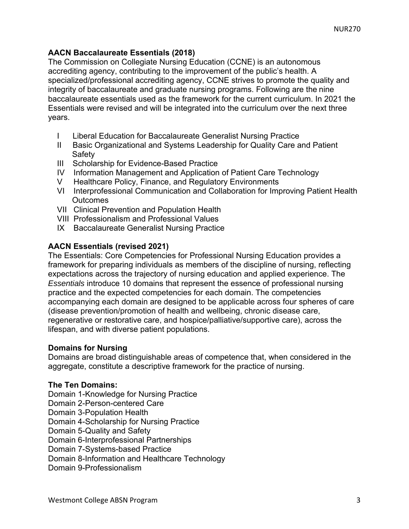#### **AACN Baccalaureate Essentials (2018)**

The Commission on Collegiate Nursing Education (CCNE) is an autonomous accrediting agency, contributing to the improvement of the public's health. A specialized/professional accrediting agency, CCNE strives to promote the quality and integrity of baccalaureate and graduate nursing programs. Following are the nine baccalaureate essentials used as the framework for the current curriculum. In 2021 the Essentials were revised and will be integrated into the curriculum over the next three years.

- I Liberal Education for Baccalaureate Generalist Nursing Practice
- II Basic Organizational and Systems Leadership for Quality Care and Patient **Safety**
- III Scholarship for Evidence-Based Practice
- IV Information Management and Application of Patient Care Technology
- V Healthcare Policy, Finance, and Regulatory Environments
- VI Interprofessional Communication and Collaboration for Improving Patient Health **Outcomes**
- VII Clinical Prevention and Population Health
- VIII Professionalism and Professional Values
- IX Baccalaureate Generalist Nursing Practice

#### **AACN Essentials (revised 2021)**

The Essentials: Core Competencies for Professional Nursing Education provides a framework for preparing individuals as members of the discipline of nursing, reflecting expectations across the trajectory of nursing education and applied experience. The *Essentials* introduce 10 domains that represent the essence of professional nursing practice and the expected competencies for each domain. The competencies accompanying each domain are designed to be applicable across four spheres of care (disease prevention/promotion of health and wellbeing, chronic disease care, regenerative or restorative care, and hospice/palliative/supportive care), across the lifespan, and with diverse patient populations.

#### **Domains for Nursing**

Domains are broad distinguishable areas of competence that, when considered in the aggregate, constitute a descriptive framework for the practice of nursing.

#### **The Ten Domains:**

Domain 1-Knowledge for Nursing Practice

- Domain 2-Person-centered Care
- Domain 3-Population Health

Domain 4-Scholarship for Nursing Practice

Domain 5-Quality and Safety

Domain 6-Interprofessional Partnerships

Domain 7-Systems-based Practice

Domain 8-Information and Healthcare Technology

Domain 9-Professionalism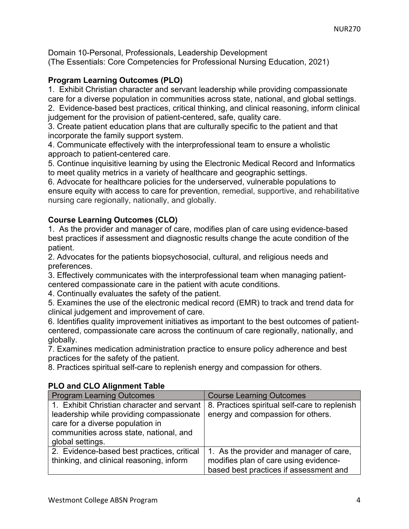Domain 10-Personal, Professionals, Leadership Development (The Essentials: Core Competencies for Professional Nursing Education, 2021)

#### **Program Learning Outcomes (PLO)**

1. Exhibit Christian character and servant leadership while providing compassionate care for a diverse population in communities across state, national, and global settings. 2. Evidence-based best practices, critical thinking, and clinical reasoning, inform clinical judgement for the provision of patient-centered, safe, quality care.

3. Create patient education plans that are culturally specific to the patient and that incorporate the family support system.

4. Communicate effectively with the interprofessional team to ensure a wholistic approach to patient-centered care.

5. Continue inquisitive learning by using the Electronic Medical Record and Informatics to meet quality metrics in a variety of healthcare and geographic settings.

6. Advocate for healthcare policies for the underserved, vulnerable populations to ensure equity with access to care for prevention, remedial, supportive, and rehabilitative nursing care regionally, nationally, and globally.

#### **Course Learning Outcomes (CLO)**

1. As the provider and manager of care, modifies plan of care using evidence-based best practices if assessment and diagnostic results change the acute condition of the patient.

2. Advocates for the patients biopsychosocial, cultural, and religious needs and preferences.

3. Effectively communicates with the interprofessional team when managing patientcentered compassionate care in the patient with acute conditions.

4. Continually evaluates the safety of the patient.

5. Examines the use of the electronic medical record (EMR) to track and trend data for clinical judgement and improvement of care.

6. Identifies quality improvement initiatives as important to the best outcomes of patientcentered, compassionate care across the continuum of care regionally, nationally, and globally.

7. Examines medication administration practice to ensure policy adherence and best practices for the safety of the patient.

8. Practices spiritual self-care to replenish energy and compassion for others.

#### **PLO and CLO Alignment Table**

| <b>Program Learning Outcomes</b>           | <b>Course Learning Outcomes</b>               |
|--------------------------------------------|-----------------------------------------------|
| 1. Exhibit Christian character and servant | 8. Practices spiritual self-care to replenish |
| leadership while providing compassionate   | energy and compassion for others.             |
| care for a diverse population in           |                                               |
| communities across state, national, and    |                                               |
| global settings.                           |                                               |
| 2. Evidence-based best practices, critical | 1. As the provider and manager of care,       |
| thinking, and clinical reasoning, inform   | modifies plan of care using evidence-         |
|                                            | based best practices if assessment and        |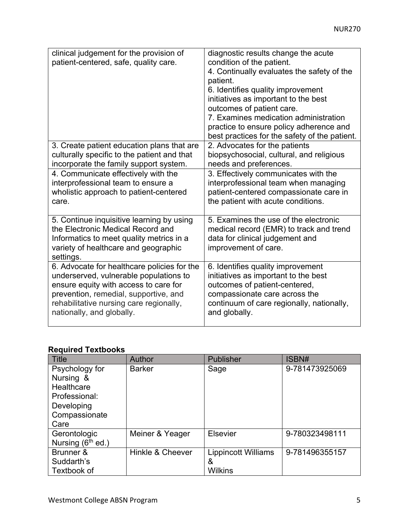| clinical judgement for the provision of<br>patient-centered, safe, quality care.                                                                                                | diagnostic results change the acute<br>condition of the patient.<br>4. Continually evaluates the safety of the<br>patient.<br>6. Identifies quality improvement<br>initiatives as important to the best<br>outcomes of patient care.<br>7. Examines medication administration<br>practice to ensure policy adherence and<br>best practices for the safety of the patient. |
|---------------------------------------------------------------------------------------------------------------------------------------------------------------------------------|---------------------------------------------------------------------------------------------------------------------------------------------------------------------------------------------------------------------------------------------------------------------------------------------------------------------------------------------------------------------------|
| 3. Create patient education plans that are                                                                                                                                      | 2. Advocates for the patients                                                                                                                                                                                                                                                                                                                                             |
| culturally specific to the patient and that                                                                                                                                     | biopsychosocial, cultural, and religious                                                                                                                                                                                                                                                                                                                                  |
| incorporate the family support system.                                                                                                                                          | needs and preferences.                                                                                                                                                                                                                                                                                                                                                    |
| 4. Communicate effectively with the                                                                                                                                             | 3. Effectively communicates with the                                                                                                                                                                                                                                                                                                                                      |
| interprofessional team to ensure a                                                                                                                                              | interprofessional team when managing                                                                                                                                                                                                                                                                                                                                      |
| wholistic approach to patient-centered                                                                                                                                          | patient-centered compassionate care in                                                                                                                                                                                                                                                                                                                                    |
| care.                                                                                                                                                                           | the patient with acute conditions.                                                                                                                                                                                                                                                                                                                                        |
| 5. Continue inquisitive learning by using<br>the Electronic Medical Record and<br>Informatics to meet quality metrics in a<br>variety of healthcare and geographic<br>settings. | 5. Examines the use of the electronic<br>medical record (EMR) to track and trend<br>data for clinical judgement and<br>improvement of care.                                                                                                                                                                                                                               |
| 6. Advocate for healthcare policies for the                                                                                                                                     | 6. Identifies quality improvement                                                                                                                                                                                                                                                                                                                                         |
| underserved, vulnerable populations to                                                                                                                                          | initiatives as important to the best                                                                                                                                                                                                                                                                                                                                      |
| ensure equity with access to care for                                                                                                                                           | outcomes of patient-centered,                                                                                                                                                                                                                                                                                                                                             |
| prevention, remedial, supportive, and                                                                                                                                           | compassionate care across the                                                                                                                                                                                                                                                                                                                                             |
| rehabilitative nursing care regionally,                                                                                                                                         | continuum of care regionally, nationally,                                                                                                                                                                                                                                                                                                                                 |
| nationally, and globally.                                                                                                                                                       | and globally.                                                                                                                                                                                                                                                                                                                                                             |

### **Required Textbooks**

| Title               | Author           | <b>Publisher</b>           | ISBN#          |
|---------------------|------------------|----------------------------|----------------|
| Psychology for      | <b>Barker</b>    | Sage                       | 9-781473925069 |
| Nursing &           |                  |                            |                |
| Healthcare          |                  |                            |                |
| Professional:       |                  |                            |                |
| Developing          |                  |                            |                |
| Compassionate       |                  |                            |                |
| Care                |                  |                            |                |
| Gerontologic        | Meiner & Yeager  | <b>Elsevier</b>            | 9-780323498111 |
| Nursing $(6th$ ed.) |                  |                            |                |
| Brunner &           | Hinkle & Cheever | <b>Lippincott Williams</b> | 9-781496355157 |
| Suddarth's          |                  | &                          |                |
| Textbook of         |                  | Wilkins                    |                |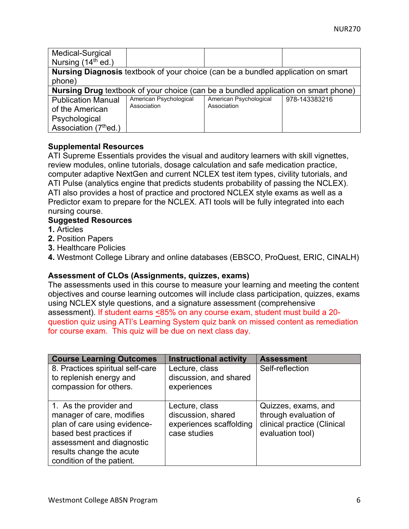| Medical-Surgical               |                                                                                           |                        |               |  |  |
|--------------------------------|-------------------------------------------------------------------------------------------|------------------------|---------------|--|--|
| Nursing (14 <sup>th</sup> ed.) |                                                                                           |                        |               |  |  |
|                                | Nursing Diagnosis textbook of your choice (can be a bundled application on smart          |                        |               |  |  |
| phone)                         |                                                                                           |                        |               |  |  |
|                                | <b>Nursing Drug</b> textbook of your choice (can be a bundled application on smart phone) |                        |               |  |  |
| <b>Publication Manual</b>      | American Psychological                                                                    | American Psychological | 978-143383216 |  |  |
| of the American                | Association                                                                               | Association            |               |  |  |
| Psychological                  |                                                                                           |                        |               |  |  |
| Association (7thed.)           |                                                                                           |                        |               |  |  |

#### **Supplemental Resources**

ATI Supreme Essentials provides the visual and auditory learners with skill vignettes, review modules, online tutorials, dosage calculation and safe medication practice, computer adaptive NextGen and current NCLEX test item types, civility tutorials, and ATI Pulse (analytics engine that predicts students probability of passing the NCLEX). ATI also provides a host of practice and proctored NCLEX style exams as well as a Predictor exam to prepare for the NCLEX. ATI tools will be fully integrated into each nursing course.

#### **Suggested Resources**

- **1.** Articles
- **2.** Position Papers
- **3.** Healthcare Policies
- **4.** Westmont College Library and online databases (EBSCO, ProQuest, ERIC, CINALH)

#### **Assessment of CLOs (Assignments, quizzes, exams)**

The assessments used in this course to measure your learning and meeting the content objectives and course learning outcomes will include class participation, quizzes, exams using NCLEX style questions, and a signature assessment (comprehensive assessment). If student earns <85% on any course exam, student must build a 20 question quiz using ATI's Learning System quiz bank on missed content as remediation for course exam. This quiz will be due on next class day.

| <b>Course Learning Outcomes</b>  | <b>Instructional activity</b> | <b>Assessment</b>           |
|----------------------------------|-------------------------------|-----------------------------|
| 8. Practices spiritual self-care | Lecture, class                | Self-reflection             |
| to replenish energy and          | discussion, and shared        |                             |
| compassion for others.           | experiences                   |                             |
|                                  |                               |                             |
| 1. As the provider and           | Lecture, class                | Quizzes, exams, and         |
| manager of care, modifies        | discussion, shared            | through evaluation of       |
| plan of care using evidence-     | experiences scaffolding       | clinical practice (Clinical |
| based best practices if          | case studies                  | evaluation tool)            |
| assessment and diagnostic        |                               |                             |
| results change the acute         |                               |                             |
| condition of the patient.        |                               |                             |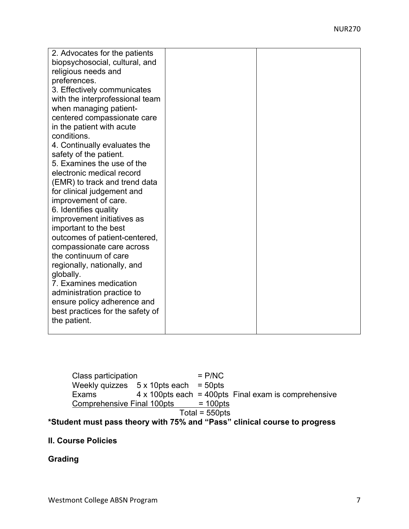| 2. Advocates for the patients<br>biopsychosocial, cultural, and<br>religious needs and<br>preferences.<br>3. Effectively communicates<br>with the interprofessional team<br>when managing patient-<br>centered compassionate care<br>in the patient with acute<br>conditions.<br>4. Continually evaluates the<br>safety of the patient.<br>5. Examines the use of the<br>electronic medical record<br>(EMR) to track and trend data<br>for clinical judgement and<br>improvement of care.<br>6. Identifies quality<br>improvement initiatives as<br>important to the best<br>outcomes of patient-centered,<br>compassionate care across<br>the continuum of care<br>regionally, nationally, and<br>globally.<br>7. Examines medication<br>administration practice to<br>ensure policy adherence and<br>best practices for the safety of |  |
|-----------------------------------------------------------------------------------------------------------------------------------------------------------------------------------------------------------------------------------------------------------------------------------------------------------------------------------------------------------------------------------------------------------------------------------------------------------------------------------------------------------------------------------------------------------------------------------------------------------------------------------------------------------------------------------------------------------------------------------------------------------------------------------------------------------------------------------------|--|
| the patient.                                                                                                                                                                                                                                                                                                                                                                                                                                                                                                                                                                                                                                                                                                                                                                                                                            |  |

Class participation = P/NC Weekly quizzes  $5 \times 10$ pts each = 50pts Exams  $4 \times 100$ pts each = 400pts Final exam is comprehensive<br>Comprehensive Final 100pts = 100pts Comprehensive Final 100pts  $Total = 550pts$ 

### **\*Student must pass theory with 75% and "Pass" clinical course to progress**

#### **II. Course Policies**

#### **Grading**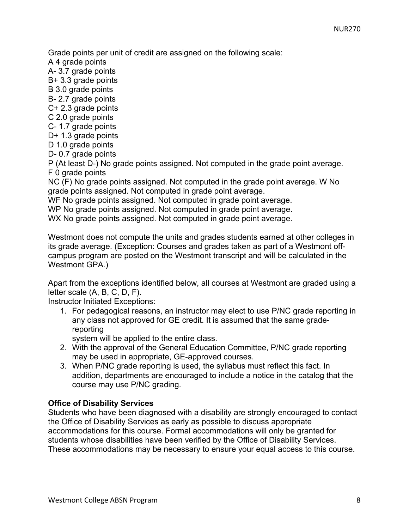Grade points per unit of credit are assigned on the following scale:

A 4 grade points

A- 3.7 grade points

B+ 3.3 grade points

B 3.0 grade points

B- 2.7 grade points

C+ 2.3 grade points

C 2.0 grade points

C- 1.7 grade points D+ 1.3 grade points

D 1.0 grade points

D- 0.7 grade points

P (At least D-) No grade points assigned. Not computed in the grade point average. F 0 grade points

NC (F) No grade points assigned. Not computed in the grade point average. W No grade points assigned. Not computed in grade point average.

WF No grade points assigned. Not computed in grade point average.

WP No grade points assigned. Not computed in grade point average.

WX No grade points assigned. Not computed in grade point average.

Westmont does not compute the units and grades students earned at other colleges in its grade average. (Exception: Courses and grades taken as part of a Westmont offcampus program are posted on the Westmont transcript and will be calculated in the Westmont GPA.)

Apart from the exceptions identified below, all courses at Westmont are graded using a letter scale (A, B, C, D, F).

Instructor Initiated Exceptions:

1. For pedagogical reasons, an instructor may elect to use P/NC grade reporting in any class not approved for GE credit. It is assumed that the same gradereporting

system will be applied to the entire class.

- 2. With the approval of the General Education Committee, P/NC grade reporting may be used in appropriate, GE-approved courses.
- 3. When P/NC grade reporting is used, the syllabus must reflect this fact. In addition, departments are encouraged to include a notice in the catalog that the course may use P/NC grading.

#### **Office of Disability Services**

Students who have been diagnosed with a disability are strongly encouraged to contact the Office of Disability Services as early as possible to discuss appropriate accommodations for this course. Formal accommodations will only be granted for students whose disabilities have been verified by the Office of Disability Services. These accommodations may be necessary to ensure your equal access to this course.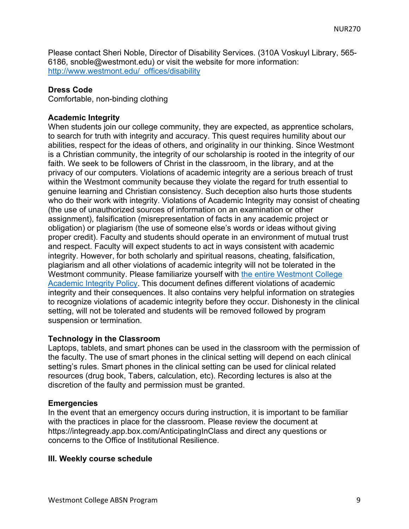Please contact Sheri Noble, Director of Disability Services. (310A Voskuyl Library, 565- 6186, snoble@westmont.edu) or visit the website for more information: http://www.westmont.edu/\_offices/disability

#### **Dress Code**

Comfortable, non-binding clothing

#### **Academic Integrity**

When students join our college community, they are expected, as apprentice scholars, to search for truth with integrity and accuracy. This quest requires humility about our abilities, respect for the ideas of others, and originality in our thinking. Since Westmont is a Christian community, the integrity of our scholarship is rooted in the integrity of our faith. We seek to be followers of Christ in the classroom, in the library, and at the privacy of our computers. Violations of academic integrity are a serious breach of trust within the Westmont community because they violate the regard for truth essential to genuine learning and Christian consistency. Such deception also hurts those students who do their work with integrity. Violations of Academic Integrity may consist of cheating (the use of unauthorized sources of information on an examination or other assignment), falsification (misrepresentation of facts in any academic project or obligation) or plagiarism (the use of someone else's words or ideas without giving proper credit). Faculty and students should operate in an environment of mutual trust and respect. Faculty will expect students to act in ways consistent with academic integrity. However, for both scholarly and spiritual reasons, cheating, falsification, plagiarism and all other violations of academic integrity will not be tolerated in the Westmont community. Please familiarize yourself with the entire Westmont College Academic Integrity Policy. This document defines different violations of academic integrity and their consequences. It also contains very helpful information on strategies to recognize violations of academic integrity before they occur. Dishonesty in the clinical setting, will not be tolerated and students will be removed followed by program suspension or termination.

#### **Technology in the Classroom**

Laptops, tablets, and smart phones can be used in the classroom with the permission of the faculty. The use of smart phones in the clinical setting will depend on each clinical setting's rules. Smart phones in the clinical setting can be used for clinical related resources (drug book, Tabers, calculation, etc). Recording lectures is also at the discretion of the faulty and permission must be granted.

#### **Emergencies**

In the event that an emergency occurs during instruction, it is important to be familiar with the practices in place for the classroom. Please review the document at https://integready.app.box.com/AnticipatingInClass and direct any questions or concerns to the Office of Institutional Resilience.

#### **III. Weekly course schedule**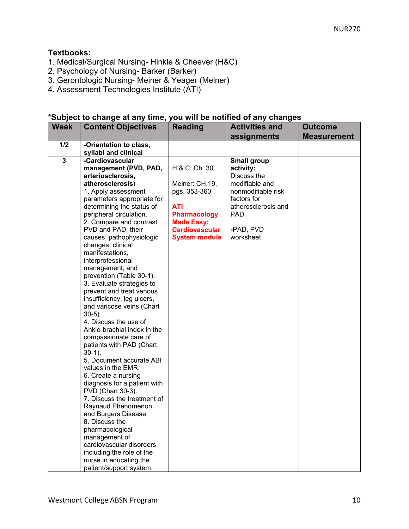#### **Textbooks:**

- 1. Medical/Surgical Nursing- Hinkle & Cheever (H&C)
- 2. Psychology of Nursing- Barker (Barker)
- 3. Gerontologic Nursing- Meiner & Yeager (Meiner)
- 4. Assessment Technologies Institute (ATI)

#### **\*Subject to change at any time, you will be notified of any changes**

| <b>Week</b>             | <b>Content Objectives</b>                                                                                                                                                                                                                                                                                                                                                                                                                                                                                                                                                                                                                                                                                                                                                                                                                                                                                                  | <b>Reading</b>                                                                                                                                      | <b>Activities and</b><br>assignments                                                                                                                           | <b>Outcome</b><br><b>Measurement</b> |
|-------------------------|----------------------------------------------------------------------------------------------------------------------------------------------------------------------------------------------------------------------------------------------------------------------------------------------------------------------------------------------------------------------------------------------------------------------------------------------------------------------------------------------------------------------------------------------------------------------------------------------------------------------------------------------------------------------------------------------------------------------------------------------------------------------------------------------------------------------------------------------------------------------------------------------------------------------------|-----------------------------------------------------------------------------------------------------------------------------------------------------|----------------------------------------------------------------------------------------------------------------------------------------------------------------|--------------------------------------|
| 1/2                     | -Orientation to class,                                                                                                                                                                                                                                                                                                                                                                                                                                                                                                                                                                                                                                                                                                                                                                                                                                                                                                     |                                                                                                                                                     |                                                                                                                                                                |                                      |
| $\overline{\mathbf{3}}$ | syllabi and clinical<br>-Cardiovascular<br>management (PVD, PAD,<br>arteriosclerosis,<br>atherosclerosis)<br>1. Apply assessment<br>parameters appropriate for<br>determining the status of<br>peripheral circulation.<br>2. Compare and contrast<br>PVD and PAD, their<br>causes, pathophysiologic<br>changes, clinical<br>manifestations,<br>interprofessional<br>management, and<br>prevention (Table 30-1).<br>3. Evaluate strategies to<br>prevent and treat venous<br>insufficiency, leg ulcers,<br>and varicose veins (Chart<br>$30-5$ ).<br>4. Discuss the use of<br>Ankle-brachial index in the<br>compassionate care of<br>patients with PAD (Chart<br>$30-1$ ).<br>5. Document accurate ABI<br>values in the EMR.<br>6. Create a nursing<br>diagnosis for a patient with<br>PVD (Chart 30-3).<br>7. Discuss the treatment of<br>Raynaud Phenomenon<br>and Burgers Disease.<br>8. Discuss the<br>pharmacological | H & C: Ch. 30<br>Meiner: CH.19,<br>pgs. 353-360<br>ATI<br><b>Pharmacology</b><br><b>Made Easy:</b><br><b>Cardiovascular</b><br><b>System module</b> | <b>Small group</b><br>activity:<br>Discuss the<br>modifiable and<br>nonmodifiable risk<br>factors for<br>atherosclerosis and<br>PAD.<br>-PAD, PVD<br>worksheet |                                      |
|                         | management of<br>cardiovascular disorders                                                                                                                                                                                                                                                                                                                                                                                                                                                                                                                                                                                                                                                                                                                                                                                                                                                                                  |                                                                                                                                                     |                                                                                                                                                                |                                      |
|                         | including the role of the<br>nurse in educating the<br>patient/support system.                                                                                                                                                                                                                                                                                                                                                                                                                                                                                                                                                                                                                                                                                                                                                                                                                                             |                                                                                                                                                     |                                                                                                                                                                |                                      |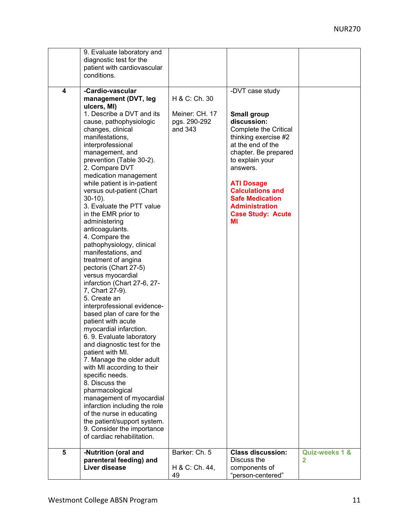|   | 9. Evaluate laboratory and    |                |                              |                |
|---|-------------------------------|----------------|------------------------------|----------------|
|   |                               |                |                              |                |
|   | diagnostic test for the       |                |                              |                |
|   | patient with cardiovascular   |                |                              |                |
|   | conditions.                   |                |                              |                |
|   |                               |                |                              |                |
| 4 | -Cardio-vascular              |                | -DVT case study              |                |
|   | management (DVT, leg          | H & C: Ch. 30  |                              |                |
|   | ulcers, MI)                   |                |                              |                |
|   | 1. Describe a DVT and its     | Meiner: CH. 17 | <b>Small group</b>           |                |
|   | cause, pathophysiologic       | pgs. 290-292   | discussion:                  |                |
|   | changes, clinical             | and 343        | <b>Complete the Critical</b> |                |
|   |                               |                |                              |                |
|   | manifestations,               |                | thinking exercise #2         |                |
|   | interprofessional             |                | at the end of the            |                |
|   | management, and               |                | chapter. Be prepared         |                |
|   | prevention (Table 30-2).      |                | to explain your              |                |
|   | 2. Compare DVT                |                | answers.                     |                |
|   | medication management         |                |                              |                |
|   | while patient is in-patient   |                | <b>ATI Dosage</b>            |                |
|   | versus out-patient (Chart     |                | <b>Calculations and</b>      |                |
|   | $30-10$ ).                    |                | <b>Safe Medication</b>       |                |
|   | 3. Evaluate the PTT value     |                | <b>Administration</b>        |                |
|   | in the EMR prior to           |                | <b>Case Study: Acute</b>     |                |
|   | administering                 |                | мı                           |                |
|   | anticoagulants.               |                |                              |                |
|   | 4. Compare the                |                |                              |                |
|   |                               |                |                              |                |
|   | pathophysiology, clinical     |                |                              |                |
|   | manifestations, and           |                |                              |                |
|   | treatment of angina           |                |                              |                |
|   | pectoris (Chart 27-5)         |                |                              |                |
|   | versus myocardial             |                |                              |                |
|   | infarction (Chart 27-6, 27-   |                |                              |                |
|   | 7, Chart 27-9).               |                |                              |                |
|   | 5. Create an                  |                |                              |                |
|   | interprofessional evidence-   |                |                              |                |
|   | based plan of care for the    |                |                              |                |
|   | patient with acute            |                |                              |                |
|   | myocardial infarction.        |                |                              |                |
|   | 6.9. Evaluate laboratory      |                |                              |                |
|   | and diagnostic test for the   |                |                              |                |
|   | patient with MI.              |                |                              |                |
|   | 7. Manage the older adult     |                |                              |                |
|   | with MI according to their    |                |                              |                |
|   | specific needs.               |                |                              |                |
|   | 8. Discuss the                |                |                              |                |
|   | pharmacological               |                |                              |                |
|   | management of myocardial      |                |                              |                |
|   | infarction including the role |                |                              |                |
|   |                               |                |                              |                |
|   | of the nurse in educating     |                |                              |                |
|   | the patient/support system.   |                |                              |                |
|   | 9. Consider the importance    |                |                              |                |
|   | of cardiac rehabilitation.    |                |                              |                |
|   |                               |                |                              |                |
| 5 | -Nutrition (oral and          | Barker: Ch. 5  | <b>Class discussion:</b>     | Quiz-weeks 1 & |
|   | parenteral feeding) and       |                | Discuss the                  | 2              |
|   | Liver disease                 | H & C: Ch. 44, | components of                |                |
|   |                               | 49             | "person-centered"            |                |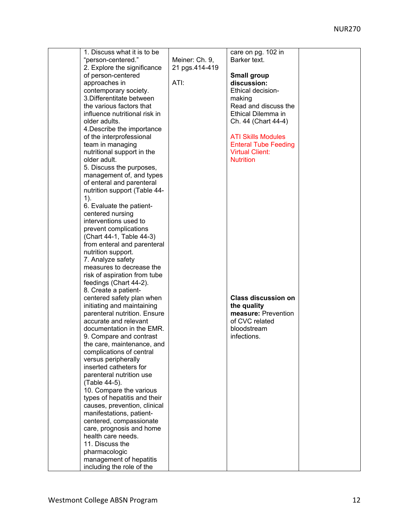| 1. Discuss what it is to be                          |                | care on pg. 102 in          |  |
|------------------------------------------------------|----------------|-----------------------------|--|
| "person-centered."                                   | Meiner: Ch. 9, | Barker text.                |  |
| 2. Explore the significance                          | 21 pgs.414-419 |                             |  |
| of person-centered                                   |                | <b>Small group</b>          |  |
| approaches in                                        | ATI:           | discussion:                 |  |
| contemporary society.                                |                | <b>Ethical decision-</b>    |  |
| 3. Differentitate between                            |                | making                      |  |
| the various factors that                             |                | Read and discuss the        |  |
| influence nutritional risk in                        |                | Ethical Dilemma in          |  |
| older adults.                                        |                | Ch. 44 (Chart 44-4)         |  |
|                                                      |                |                             |  |
| 4. Describe the importance                           |                |                             |  |
| of the interprofessional                             |                | <b>ATI Skills Modules</b>   |  |
| team in managing                                     |                | <b>Enteral Tube Feeding</b> |  |
| nutritional support in the                           |                | <b>Virtual Client:</b>      |  |
| older adult.                                         |                | <b>Nutrition</b>            |  |
| 5. Discuss the purposes,                             |                |                             |  |
| management of, and types                             |                |                             |  |
| of enteral and parenteral                            |                |                             |  |
| nutrition support (Table 44-                         |                |                             |  |
| $1$ ).                                               |                |                             |  |
| 6. Evaluate the patient-                             |                |                             |  |
| centered nursing                                     |                |                             |  |
|                                                      |                |                             |  |
| interventions used to                                |                |                             |  |
| prevent complications                                |                |                             |  |
| (Chart 44-1, Table 44-3)                             |                |                             |  |
| from enteral and parenteral                          |                |                             |  |
| nutrition support.                                   |                |                             |  |
| 7. Analyze safety                                    |                |                             |  |
| measures to decrease the                             |                |                             |  |
| risk of aspiration from tube                         |                |                             |  |
| feedings (Chart 44-2).                               |                |                             |  |
| 8. Create a patient-                                 |                |                             |  |
| centered safety plan when                            |                | <b>Class discussion on</b>  |  |
| initiating and maintaining                           |                | the quality                 |  |
| parenteral nutrition. Ensure                         |                | measure: Prevention         |  |
| accurate and relevant                                |                | of CVC related              |  |
|                                                      |                |                             |  |
| documentation in the EMR.                            |                | bloodstream                 |  |
| 9. Compare and contrast                              |                | infections.                 |  |
| the care, maintenance, and                           |                |                             |  |
| complications of central                             |                |                             |  |
| versus peripherally                                  |                |                             |  |
| inserted catheters for                               |                |                             |  |
| parenteral nutrition use                             |                |                             |  |
| (Table 44-5).                                        |                |                             |  |
| 10. Compare the various                              |                |                             |  |
| types of hepatitis and their                         |                |                             |  |
| causes, prevention, clinical                         |                |                             |  |
| manifestations, patient-                             |                |                             |  |
| centered, compassionate                              |                |                             |  |
| care, prognosis and home                             |                |                             |  |
| health care needs.                                   |                |                             |  |
| 11. Discuss the                                      |                |                             |  |
| pharmacologic                                        |                |                             |  |
|                                                      |                |                             |  |
| management of hepatitis<br>including the role of the |                |                             |  |
|                                                      |                |                             |  |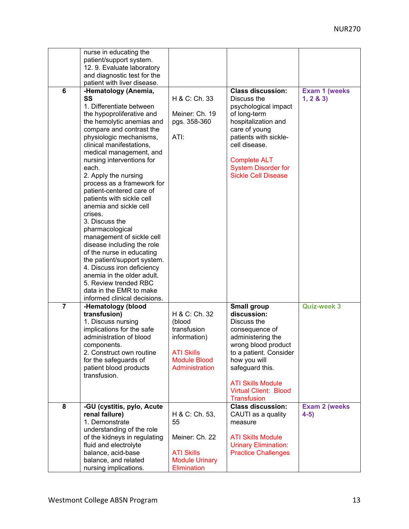|                | nurse in educating the       |                       |                              |                       |
|----------------|------------------------------|-----------------------|------------------------------|-----------------------|
|                | patient/support system.      |                       |                              |                       |
|                | 12. 9. Evaluate laboratory   |                       |                              |                       |
|                | and diagnostic test for the  |                       |                              |                       |
|                | patient with liver disease.  |                       |                              |                       |
| 6              |                              |                       | <b>Class discussion:</b>     |                       |
|                | -Hematology (Anemia,         |                       |                              | <b>Exam 1 (weeks</b>  |
|                | SS                           | H & C: Ch. 33         | Discuss the                  | 1, 2 & 3              |
|                | 1. Differentiate between     |                       | psychological impact         |                       |
|                | the hypoproliferative and    | Meiner: Ch. 19        | of long-term                 |                       |
|                | the hemolytic anemias and    | pgs. 358-360          | hospitalization and          |                       |
|                | compare and contrast the     |                       | care of young                |                       |
|                | physiologic mechanisms,      | ATI:                  | patients with sickle-        |                       |
|                | clinical manifestations,     |                       | cell disease.                |                       |
|                | medical management, and      |                       |                              |                       |
|                | nursing interventions for    |                       | <b>Complete ALT</b>          |                       |
|                | each.                        |                       | <b>System Disorder for</b>   |                       |
|                |                              |                       | <b>Sickle Cell Disease</b>   |                       |
|                | 2. Apply the nursing         |                       |                              |                       |
|                | process as a framework for   |                       |                              |                       |
|                | patient-centered care of     |                       |                              |                       |
|                | patients with sickle cell    |                       |                              |                       |
|                | anemia and sickle cell       |                       |                              |                       |
|                | crises.                      |                       |                              |                       |
|                | 3. Discuss the               |                       |                              |                       |
|                | pharmacological              |                       |                              |                       |
|                | management of sickle cell    |                       |                              |                       |
|                | disease including the role   |                       |                              |                       |
|                | of the nurse in educating    |                       |                              |                       |
|                | the patient/support system.  |                       |                              |                       |
|                | 4. Discuss iron deficiency   |                       |                              |                       |
|                | anemia in the older adult.   |                       |                              |                       |
|                | 5. Review trended RBC        |                       |                              |                       |
|                |                              |                       |                              |                       |
|                | data in the EMR to make      |                       |                              |                       |
|                | informed clinical decisions. |                       |                              |                       |
| $\overline{7}$ | -Hematology (blood           |                       | Small group                  | <b>Quiz-week 3</b>    |
|                | transfusion)                 | H & C: Ch. 32         | discussion:                  |                       |
|                | 1. Discuss nursing           | (blood                | Discuss the                  |                       |
|                | implications for the safe    | transfusion           | consequence of               |                       |
|                | administration of blood      | information)          | administering the            |                       |
|                | components.                  |                       | wrong blood product          |                       |
|                | 2. Construct own routine     | <b>ATI Skills</b>     | to a patient. Consider       |                       |
|                | for the safeguards of        | <b>Module Blood</b>   | how you will                 |                       |
|                | patient blood products       | Administration        | safeguard this.              |                       |
|                | transfusion.                 |                       |                              |                       |
|                |                              |                       | <b>ATI Skills Module</b>     |                       |
|                |                              |                       | <b>Virtual Client: Blood</b> |                       |
|                |                              |                       | <b>Transfusion</b>           |                       |
| 8              | -GU (cystitis, pylo, Acute   |                       | <b>Class discussion:</b>     | <b>Exam 2 (weeks)</b> |
|                |                              | H & C: Ch. 53,        |                              |                       |
|                | renal failure)               |                       | CAUTI as a quality           | $4-5)$                |
|                | 1. Demonstrate               | 55                    | measure                      |                       |
|                | understanding of the role    |                       |                              |                       |
|                | of the kidneys in regulating | Meiner: Ch. 22        | <b>ATI Skills Module</b>     |                       |
|                | fluid and electrolyte        |                       | <b>Urinary Elimination:</b>  |                       |
|                | balance, acid-base           | <b>ATI Skills</b>     | <b>Practice Challenges</b>   |                       |
|                | balance, and related         | <b>Module Urinary</b> |                              |                       |
|                | nursing implications.        | Elimination           |                              |                       |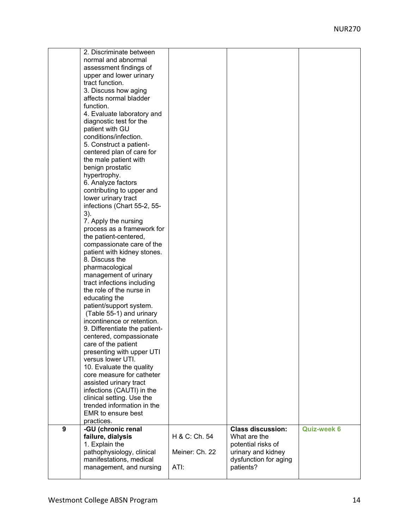|   | 2. Discriminate between       |                |                          |                    |
|---|-------------------------------|----------------|--------------------------|--------------------|
|   | normal and abnormal           |                |                          |                    |
|   | assessment findings of        |                |                          |                    |
|   | upper and lower urinary       |                |                          |                    |
|   | tract function.               |                |                          |                    |
|   |                               |                |                          |                    |
|   | 3. Discuss how aging          |                |                          |                    |
|   | affects normal bladder        |                |                          |                    |
|   | function.                     |                |                          |                    |
|   | 4. Evaluate laboratory and    |                |                          |                    |
|   | diagnostic test for the       |                |                          |                    |
|   | patient with GU               |                |                          |                    |
|   | conditions/infection.         |                |                          |                    |
|   | 5. Construct a patient-       |                |                          |                    |
|   | centered plan of care for     |                |                          |                    |
|   | the male patient with         |                |                          |                    |
|   | benign prostatic              |                |                          |                    |
|   | hypertrophy.                  |                |                          |                    |
|   | 6. Analyze factors            |                |                          |                    |
|   | contributing to upper and     |                |                          |                    |
|   | lower urinary tract           |                |                          |                    |
|   | infections (Chart 55-2, 55-   |                |                          |                    |
|   | 3).                           |                |                          |                    |
|   | 7. Apply the nursing          |                |                          |                    |
|   | process as a framework for    |                |                          |                    |
|   | the patient-centered,         |                |                          |                    |
|   | compassionate care of the     |                |                          |                    |
|   | patient with kidney stones.   |                |                          |                    |
|   | 8. Discuss the                |                |                          |                    |
|   | pharmacological               |                |                          |                    |
|   | management of urinary         |                |                          |                    |
|   | tract infections including    |                |                          |                    |
|   | the role of the nurse in      |                |                          |                    |
|   | educating the                 |                |                          |                    |
|   | patient/support system.       |                |                          |                    |
|   | (Table 55-1) and urinary      |                |                          |                    |
|   | incontinence or retention.    |                |                          |                    |
|   |                               |                |                          |                    |
|   | 9. Differentiate the patient- |                |                          |                    |
|   | centered, compassionate       |                |                          |                    |
|   | care of the patient           |                |                          |                    |
|   | presenting with upper UTI     |                |                          |                    |
|   | versus lower UTI.             |                |                          |                    |
|   | 10. Evaluate the quality      |                |                          |                    |
|   | core measure for catheter     |                |                          |                    |
|   | assisted urinary tract        |                |                          |                    |
|   | infections (CAUTI) in the     |                |                          |                    |
|   | clinical setting. Use the     |                |                          |                    |
|   | trended information in the    |                |                          |                    |
|   | <b>EMR</b> to ensure best     |                |                          |                    |
|   | practices.                    |                |                          |                    |
| 9 | -GU (chronic renal            |                | <b>Class discussion:</b> | <b>Quiz-week 6</b> |
|   | failure, dialysis             | H & C: Ch. 54  | What are the             |                    |
|   | 1. Explain the                |                | potential risks of       |                    |
|   | pathophysiology, clinical     | Meiner: Ch. 22 | urinary and kidney       |                    |
|   | manifestations, medical       |                | dysfunction for aging    |                    |
|   | management, and nursing       | ATI:           | patients?                |                    |
|   |                               |                |                          |                    |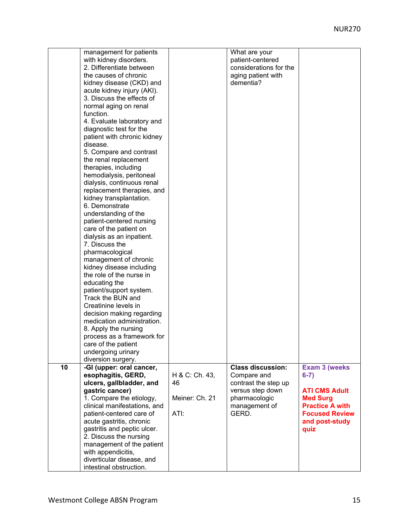|    | management for patients      |                | What are your            |                        |
|----|------------------------------|----------------|--------------------------|------------------------|
|    | with kidney disorders.       |                | patient-centered         |                        |
|    | 2. Differentiate between     |                | considerations for the   |                        |
|    | the causes of chronic        |                | aging patient with       |                        |
|    | kidney disease (CKD) and     |                | dementia?                |                        |
|    | acute kidney injury (AKI).   |                |                          |                        |
|    | 3. Discuss the effects of    |                |                          |                        |
|    | normal aging on renal        |                |                          |                        |
|    | function.                    |                |                          |                        |
|    | 4. Evaluate laboratory and   |                |                          |                        |
|    |                              |                |                          |                        |
|    | diagnostic test for the      |                |                          |                        |
|    | patient with chronic kidney  |                |                          |                        |
|    | disease.                     |                |                          |                        |
|    | 5. Compare and contrast      |                |                          |                        |
|    | the renal replacement        |                |                          |                        |
|    | therapies, including         |                |                          |                        |
|    | hemodialysis, peritoneal     |                |                          |                        |
|    | dialysis, continuous renal   |                |                          |                        |
|    | replacement therapies, and   |                |                          |                        |
|    | kidney transplantation.      |                |                          |                        |
|    | 6. Demonstrate               |                |                          |                        |
|    | understanding of the         |                |                          |                        |
|    | patient-centered nursing     |                |                          |                        |
|    | care of the patient on       |                |                          |                        |
|    | dialysis as an inpatient.    |                |                          |                        |
|    | 7. Discuss the               |                |                          |                        |
|    | pharmacological              |                |                          |                        |
|    | management of chronic        |                |                          |                        |
|    | kidney disease including     |                |                          |                        |
|    | the role of the nurse in     |                |                          |                        |
|    |                              |                |                          |                        |
|    | educating the                |                |                          |                        |
|    | patient/support system.      |                |                          |                        |
|    | Track the BUN and            |                |                          |                        |
|    | Creatinine levels in         |                |                          |                        |
|    | decision making regarding    |                |                          |                        |
|    | medication administration.   |                |                          |                        |
|    | 8. Apply the nursing         |                |                          |                        |
|    | process as a framework for   |                |                          |                        |
|    | care of the patient          |                |                          |                        |
|    | undergoing urinary           |                |                          |                        |
|    | diversion surgery.           |                |                          |                        |
| 10 | -GI (upper: oral cancer,     |                | <b>Class discussion:</b> | <b>Exam 3 (weeks)</b>  |
|    | esophagitis, GERD,           | H & C: Ch. 43, | Compare and              | $6-7)$                 |
|    | ulcers, gallbladder, and     | 46             | contrast the step up     |                        |
|    | gastric cancer)              |                | versus step down         | <b>ATI CMS Adult</b>   |
|    | 1. Compare the etiology,     | Meiner: Ch. 21 | pharmacologic            | <b>Med Surg</b>        |
|    | clinical manifestations, and |                | management of            | <b>Practice A with</b> |
|    | patient-centered care of     | ATI:           | GERD.                    | <b>Focused Review</b>  |
|    | acute gastritis, chronic     |                |                          | and post-study         |
|    | gastritis and peptic ulcer.  |                |                          | quiz                   |
|    | 2. Discuss the nursing       |                |                          |                        |
|    | management of the patient    |                |                          |                        |
|    | with appendicitis,           |                |                          |                        |
|    | diverticular disease, and    |                |                          |                        |
|    | intestinal obstruction.      |                |                          |                        |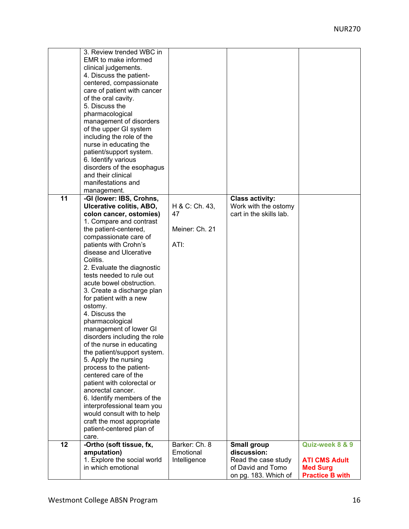|    | 3. Review trended WBC in                               |                |                         |                        |
|----|--------------------------------------------------------|----------------|-------------------------|------------------------|
|    | EMR to make informed                                   |                |                         |                        |
|    | clinical judgements.                                   |                |                         |                        |
|    | 4. Discuss the patient-                                |                |                         |                        |
|    | centered, compassionate                                |                |                         |                        |
|    | care of patient with cancer                            |                |                         |                        |
|    | of the oral cavity.                                    |                |                         |                        |
|    | 5. Discuss the                                         |                |                         |                        |
|    | pharmacological                                        |                |                         |                        |
|    | management of disorders                                |                |                         |                        |
|    | of the upper GI system                                 |                |                         |                        |
|    | including the role of the                              |                |                         |                        |
|    | nurse in educating the                                 |                |                         |                        |
|    | patient/support system.                                |                |                         |                        |
|    | 6. Identify various                                    |                |                         |                        |
|    | disorders of the esophagus                             |                |                         |                        |
|    | and their clinical                                     |                |                         |                        |
|    | manifestations and                                     |                |                         |                        |
|    | management.                                            |                |                         |                        |
| 11 | -GI (lower: IBS, Crohns,                               |                | <b>Class activity:</b>  |                        |
|    | Ulcerative colitis, ABO,                               | H & C: Ch. 43, | Work with the ostomy    |                        |
|    | colon cancer, ostomies)                                | 47             | cart in the skills lab. |                        |
|    | 1. Compare and contrast                                |                |                         |                        |
|    | the patient-centered,                                  | Meiner: Ch. 21 |                         |                        |
|    | compassionate care of                                  |                |                         |                        |
|    | patients with Crohn's                                  | ATI:           |                         |                        |
|    | disease and Ulcerative                                 |                |                         |                        |
|    | Colitis.                                               |                |                         |                        |
|    | 2. Evaluate the diagnostic                             |                |                         |                        |
|    | tests needed to rule out                               |                |                         |                        |
|    | acute bowel obstruction.                               |                |                         |                        |
|    | 3. Create a discharge plan                             |                |                         |                        |
|    | for patient with a new                                 |                |                         |                        |
|    | ostomy.                                                |                |                         |                        |
|    | 4. Discuss the                                         |                |                         |                        |
|    | pharmacological                                        |                |                         |                        |
|    | management of lower GI                                 |                |                         |                        |
|    | disorders including the role                           |                |                         |                        |
|    | of the nurse in educating                              |                |                         |                        |
|    | the patient/support system.                            |                |                         |                        |
|    | 5. Apply the nursing                                   |                |                         |                        |
|    | process to the patient-                                |                |                         |                        |
|    | centered care of the                                   |                |                         |                        |
|    | patient with colorectal or                             |                |                         |                        |
|    | anorectal cancer.                                      |                |                         |                        |
|    | 6. Identify members of the                             |                |                         |                        |
|    | interprofessional team you                             |                |                         |                        |
|    | would consult with to help                             |                |                         |                        |
|    | craft the most appropriate<br>patient-centered plan of |                |                         |                        |
|    | care.                                                  |                |                         |                        |
| 12 | -Ortho (soft tissue, fx,                               | Barker: Ch. 8  | <b>Small group</b>      | Quiz-week 8 & 9        |
|    | amputation)                                            | Emotional      | discussion:             |                        |
|    | 1. Explore the social world                            | Intelligence   | Read the case study     | <b>ATI CMS Adult</b>   |
|    | in which emotional                                     |                | of David and Tomo       | <b>Med Surg</b>        |
|    |                                                        |                | on pg. 183. Which of    | <b>Practice B with</b> |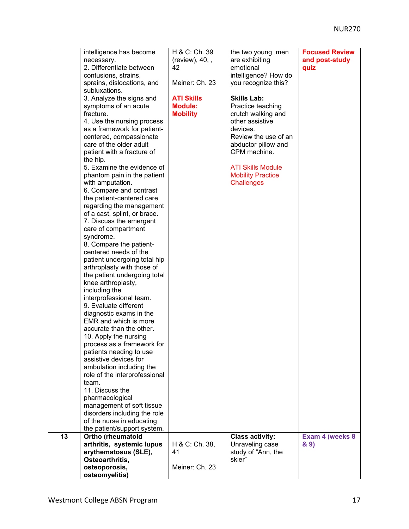|    | intelligence has become<br>necessary.<br>2. Differentiate between<br>contusions, strains,<br>sprains, dislocations, and<br>subluxations.<br>3. Analyze the signs and<br>symptoms of an acute<br>fracture.<br>4. Use the nursing process<br>as a framework for patient-<br>centered, compassionate<br>care of the older adult<br>patient with a fracture of<br>the hip.<br>5. Examine the evidence of<br>phantom pain in the patient<br>with amputation.<br>6. Compare and contrast<br>the patient-centered care<br>regarding the management<br>of a cast, splint, or brace.<br>7. Discuss the emergent<br>care of compartment<br>syndrome.<br>8. Compare the patient-<br>centered needs of the<br>patient undergoing total hip<br>arthroplasty with those of<br>the patient undergoing total<br>knee arthroplasty,<br>including the<br>interprofessional team.<br>9. Evaluate different<br>diagnostic exams in the<br>EMR and which is more<br>accurate than the other.<br>10. Apply the nursing<br>process as a framework for<br>patients needing to use<br>assistive devices for<br>ambulation including the<br>role of the interprofessional<br>team.<br>11. Discuss the<br>pharmacological<br>management of soft tissue<br>disorders including the role<br>of the nurse in educating<br>the patient/support system. | H & C: Ch. 39<br>$(review)$ , 40, ,<br>42<br>Meiner: Ch. 23<br><b>ATI Skills</b><br><b>Module:</b><br><b>Mobility</b> | the two young men<br>are exhibiting<br>emotional<br>intelligence? How do<br>you recognize this?<br><b>Skills Lab:</b><br>Practice teaching<br>crutch walking and<br>other assistive<br>devices.<br>Review the use of an<br>abductor pillow and<br>CPM machine.<br><b>ATI Skills Module</b><br><b>Mobility Practice</b><br><b>Challenges</b> | <b>Focused Review</b><br>and post-study<br>quiz |
|----|-------------------------------------------------------------------------------------------------------------------------------------------------------------------------------------------------------------------------------------------------------------------------------------------------------------------------------------------------------------------------------------------------------------------------------------------------------------------------------------------------------------------------------------------------------------------------------------------------------------------------------------------------------------------------------------------------------------------------------------------------------------------------------------------------------------------------------------------------------------------------------------------------------------------------------------------------------------------------------------------------------------------------------------------------------------------------------------------------------------------------------------------------------------------------------------------------------------------------------------------------------------------------------------------------------------------------|-----------------------------------------------------------------------------------------------------------------------|---------------------------------------------------------------------------------------------------------------------------------------------------------------------------------------------------------------------------------------------------------------------------------------------------------------------------------------------|-------------------------------------------------|
| 13 | Ortho (rheumatoid<br>arthritis, systemic lupus<br>erythematosus (SLE),<br>Osteoarthritis,<br>osteoporosis,<br>osteomyelitis)                                                                                                                                                                                                                                                                                                                                                                                                                                                                                                                                                                                                                                                                                                                                                                                                                                                                                                                                                                                                                                                                                                                                                                                            | H & C: Ch. 38,<br>41<br>Meiner: Ch. 23                                                                                | <b>Class activity:</b><br>Unraveling case<br>study of "Ann, the<br>skier"                                                                                                                                                                                                                                                                   | Exam 4 (weeks 8<br>8.9)                         |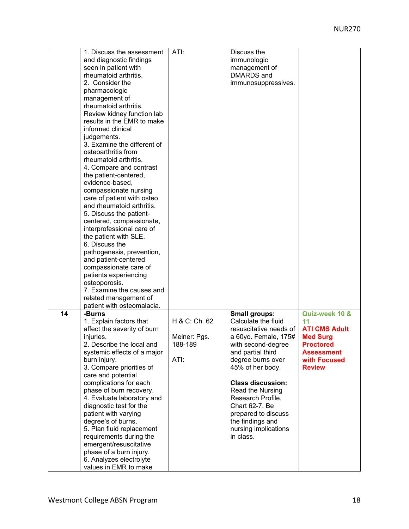|    | 1. Discuss the assessment   | ATI:          | Discuss the              |                      |
|----|-----------------------------|---------------|--------------------------|----------------------|
|    | and diagnostic findings     |               | immunologic              |                      |
|    | seen in patient with        |               | management of            |                      |
|    | rheumatoid arthritis.       |               | DMARDS and               |                      |
|    | 2. Consider the             |               | immunosuppressives.      |                      |
|    | pharmacologic               |               |                          |                      |
|    |                             |               |                          |                      |
|    | management of               |               |                          |                      |
|    | rheumatoid arthritis.       |               |                          |                      |
|    | Review kidney function lab  |               |                          |                      |
|    | results in the EMR to make  |               |                          |                      |
|    | informed clinical           |               |                          |                      |
|    | judgements.                 |               |                          |                      |
|    | 3. Examine the different of |               |                          |                      |
|    | osteoarthritis from         |               |                          |                      |
|    | rheumatoid arthritis.       |               |                          |                      |
|    |                             |               |                          |                      |
|    | 4. Compare and contrast     |               |                          |                      |
|    | the patient-centered,       |               |                          |                      |
|    | evidence-based,             |               |                          |                      |
|    | compassionate nursing       |               |                          |                      |
|    | care of patient with osteo  |               |                          |                      |
|    | and rheumatoid arthritis.   |               |                          |                      |
|    | 5. Discuss the patient-     |               |                          |                      |
|    | centered, compassionate,    |               |                          |                      |
|    |                             |               |                          |                      |
|    | interprofessional care of   |               |                          |                      |
|    | the patient with SLE.       |               |                          |                      |
|    | 6. Discuss the              |               |                          |                      |
|    | pathogenesis, prevention,   |               |                          |                      |
|    | and patient-centered        |               |                          |                      |
|    | compassionate care of       |               |                          |                      |
|    | patients experiencing       |               |                          |                      |
|    | osteoporosis.               |               |                          |                      |
|    | 7. Examine the causes and   |               |                          |                      |
|    |                             |               |                          |                      |
|    | related management of       |               |                          |                      |
|    | patient with osteomalacia.  |               |                          |                      |
| 14 | -Burns                      |               | <b>Small groups:</b>     | Quiz-week 10 &       |
|    | 1. Explain factors that     | H & C: Ch. 62 | Calculate the fluid      | 11                   |
|    | affect the severity of burn |               | resuscitative needs of   | <b>ATI CMS Adult</b> |
|    | injuries.                   | Meiner: Pgs.  | a 60yo. Female, 175#     | <b>Med Surg</b>      |
|    | 2. Describe the local and   | 188-189       | with second-degree       | Proctored            |
|    | systemic effects of a major |               | and partial third        | <b>Assessment</b>    |
|    | burn injury.                | ATI:          | degree burns over        | with Focused         |
|    | 3. Compare priorities of    |               | 45% of her body.         | <b>Review</b>        |
|    |                             |               |                          |                      |
|    | care and potential          |               |                          |                      |
|    | complications for each      |               | <b>Class discussion:</b> |                      |
|    | phase of burn recovery.     |               | Read the Nursing         |                      |
|    | 4. Evaluate laboratory and  |               | Research Profile,        |                      |
|    | diagnostic test for the     |               | Chart 62-7. Be           |                      |
|    | patient with varying        |               | prepared to discuss      |                      |
|    | degree's of burns.          |               | the findings and         |                      |
|    | 5. Plan fluid replacement   |               | nursing implications     |                      |
|    | requirements during the     |               | in class.                |                      |
|    |                             |               |                          |                      |
|    | emergent/resuscitative      |               |                          |                      |
|    | phase of a burn injury.     |               |                          |                      |
|    | 6. Analyzes electrolyte     |               |                          |                      |
|    | values in EMR to make       |               |                          |                      |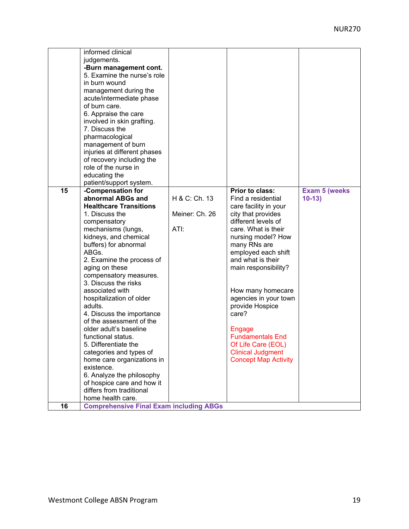|    | informed clinical                              |                |                             |                       |
|----|------------------------------------------------|----------------|-----------------------------|-----------------------|
|    | judgements.                                    |                |                             |                       |
|    | -Burn management cont.                         |                |                             |                       |
|    | 5. Examine the nurse's role                    |                |                             |                       |
|    | in burn wound                                  |                |                             |                       |
|    | management during the                          |                |                             |                       |
|    | acute/intermediate phase                       |                |                             |                       |
|    | of burn care.                                  |                |                             |                       |
|    |                                                |                |                             |                       |
|    | 6. Appraise the care                           |                |                             |                       |
|    | involved in skin grafting.                     |                |                             |                       |
|    | 7. Discuss the                                 |                |                             |                       |
|    | pharmacological                                |                |                             |                       |
|    | management of burn                             |                |                             |                       |
|    | injuries at different phases                   |                |                             |                       |
|    | of recovery including the                      |                |                             |                       |
|    | role of the nurse in                           |                |                             |                       |
|    | educating the                                  |                |                             |                       |
|    | patient/support system.                        |                |                             |                       |
| 15 | -Compensation for                              |                | Prior to class:             | <b>Exam 5 (weeks)</b> |
|    | abnormal ABGs and                              | H & C: Ch. 13  | Find a residential          | $10-13$               |
|    | <b>Healthcare Transitions</b>                  |                | care facility in your       |                       |
|    | 1. Discuss the                                 | Meiner: Ch. 26 | city that provides          |                       |
|    | compensatory                                   |                | different levels of         |                       |
|    | mechanisms (lungs,                             | ATI:           | care. What is their         |                       |
|    | kidneys, and chemical                          |                | nursing model? How          |                       |
|    | buffers) for abnormal                          |                | many RNs are                |                       |
|    | ABGs.                                          |                | employed each shift         |                       |
|    | 2. Examine the process of                      |                | and what is their           |                       |
|    | aging on these                                 |                | main responsibility?        |                       |
|    | compensatory measures.                         |                |                             |                       |
|    | 3. Discuss the risks                           |                |                             |                       |
|    | associated with                                |                | How many homecare           |                       |
|    | hospitalization of older                       |                | agencies in your town       |                       |
|    | adults.                                        |                | provide Hospice             |                       |
|    | 4. Discuss the importance                      |                | care?                       |                       |
|    | of the assessment of the                       |                |                             |                       |
|    | older adult's baseline                         |                | Engage                      |                       |
|    | functional status.                             |                | <b>Fundamentals End</b>     |                       |
|    | 5. Differentiate the                           |                |                             |                       |
|    |                                                |                | Of Life Care (EOL)          |                       |
|    | categories and types of                        |                | <b>Clinical Judgment</b>    |                       |
|    | home care organizations in                     |                | <b>Concept Map Activity</b> |                       |
|    | existence.                                     |                |                             |                       |
|    | 6. Analyze the philosophy                      |                |                             |                       |
|    | of hospice care and how it                     |                |                             |                       |
|    | differs from traditional                       |                |                             |                       |
|    | home health care.                              |                |                             |                       |
| 16 | <b>Comprehensive Final Exam including ABGs</b> |                |                             |                       |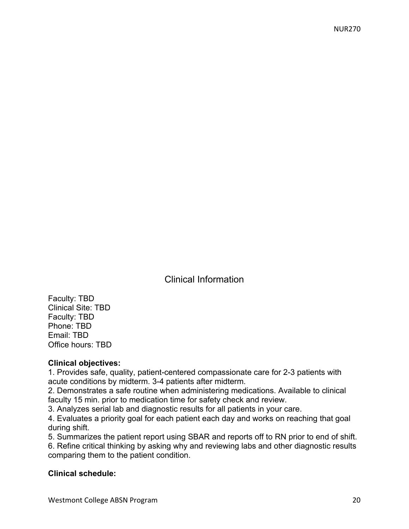Clinical Information

Faculty: TBD Clinical Site: TBD Faculty: TBD Phone: TBD Email: TBD Office hours: TBD

#### **Clinical objectives:**

1. Provides safe, quality, patient-centered compassionate care for 2-3 patients with acute conditions by midterm. 3-4 patients after midterm.

2. Demonstrates a safe routine when administering medications. Available to clinical faculty 15 min. prior to medication time for safety check and review.

3. Analyzes serial lab and diagnostic results for all patients in your care.

4. Evaluates a priority goal for each patient each day and works on reaching that goal during shift.

5. Summarizes the patient report using SBAR and reports off to RN prior to end of shift.

6. Refine critical thinking by asking why and reviewing labs and other diagnostic results comparing them to the patient condition.

#### **Clinical schedule:**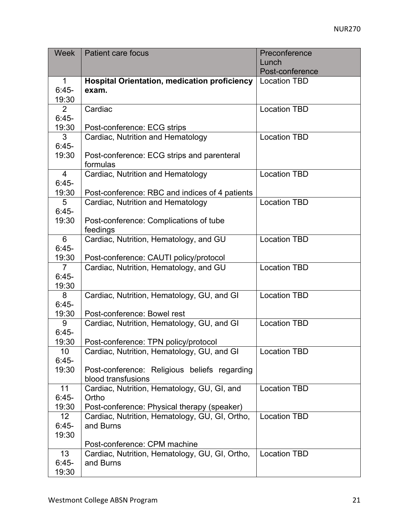| <b>Week</b>     | <b>Patient care focus</b>                           | Preconference       |
|-----------------|-----------------------------------------------------|---------------------|
|                 |                                                     | Lunch               |
|                 |                                                     | Post-conference     |
| 1               | <b>Hospital Orientation, medication proficiency</b> | <b>Location TBD</b> |
| $6:45-$         | exam.                                               |                     |
| 19:30           |                                                     |                     |
| 2               | Cardiac                                             | <b>Location TBD</b> |
| $6:45-$         |                                                     |                     |
| 19:30           | Post-conference: ECG strips                         |                     |
| 3               | Cardiac, Nutrition and Hematology                   | <b>Location TBD</b> |
| $6:45-$         |                                                     |                     |
| 19:30           | Post-conference: ECG strips and parenteral          |                     |
|                 | formulas                                            |                     |
| $\overline{4}$  | Cardiac, Nutrition and Hematology                   | <b>Location TBD</b> |
| $6:45-$         |                                                     |                     |
| 19:30           | Post-conference: RBC and indices of 4 patients      |                     |
| 5               | Cardiac, Nutrition and Hematology                   | <b>Location TBD</b> |
| $6:45-$         |                                                     |                     |
| 19:30           | Post-conference: Complications of tube              |                     |
|                 | feedings                                            |                     |
| 6               | Cardiac, Nutrition, Hematology, and GU              | <b>Location TBD</b> |
| $6:45-$         |                                                     |                     |
| 19:30           | Post-conference: CAUTI policy/protocol              |                     |
| $\overline{7}$  | Cardiac, Nutrition, Hematology, and GU              | <b>Location TBD</b> |
| $6:45-$         |                                                     |                     |
| 19:30           |                                                     |                     |
| 8               | Cardiac, Nutrition, Hematology, GU, and GI          | <b>Location TBD</b> |
| $6:45-$         |                                                     |                     |
| 19:30           | Post-conference: Bowel rest                         |                     |
| 9               | Cardiac, Nutrition, Hematology, GU, and GI          | <b>Location TBD</b> |
| $6:45-$         |                                                     |                     |
| 19:30           | Post-conference: TPN policy/protocol                |                     |
| 10              | Cardiac, Nutrition, Hematology, GU, and GI          | <b>Location TBD</b> |
| $6:45-$         |                                                     |                     |
| 19:30           | Post-conference: Religious beliefs regarding        |                     |
|                 | blood transfusions                                  |                     |
| 11              | Cardiac, Nutrition, Hematology, GU, GI, and         | <b>Location TBD</b> |
| $6:45-$         | Ortho                                               |                     |
| 19:30           | Post-conference: Physical therapy (speaker)         |                     |
| 12              | Cardiac, Nutrition, Hematology, GU, GI, Ortho,      | <b>Location TBD</b> |
| $6:45-$         | and Burns                                           |                     |
| 19:30           |                                                     |                     |
|                 | Post-conference: CPM machine                        |                     |
| 13 <sup>2</sup> | Cardiac, Nutrition, Hematology, GU, GI, Ortho,      | <b>Location TBD</b> |
| $6:45-$         | and Burns                                           |                     |
| 19:30           |                                                     |                     |